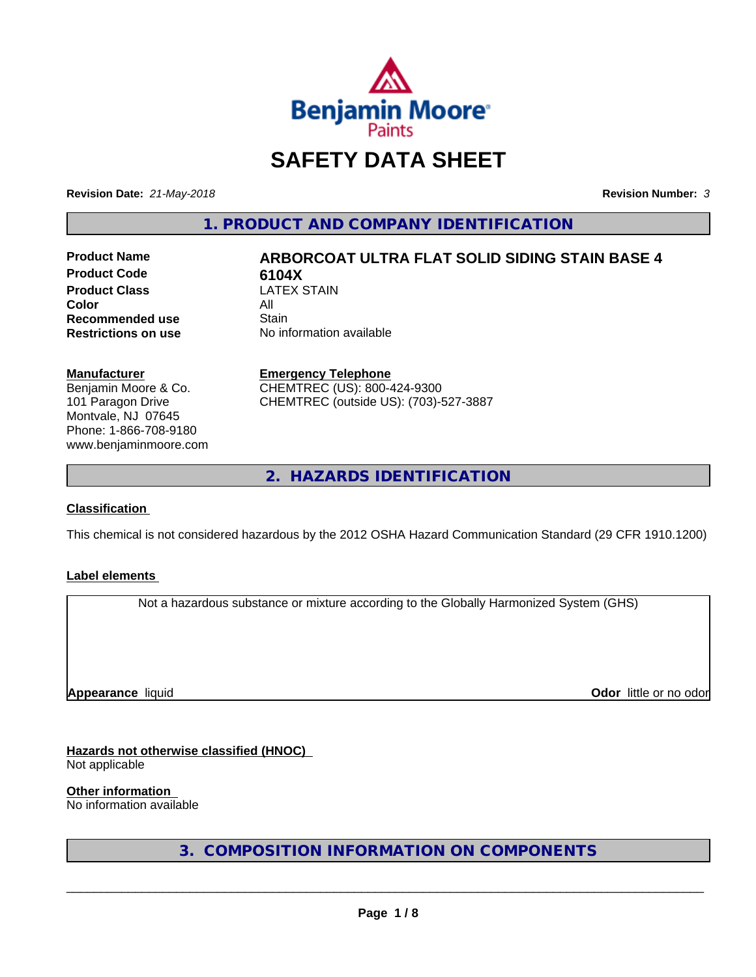

# **SAFETY DATA SHEET**

**Revision Date:** *21-May-2018* **Revision Number:** *3*

**1. PRODUCT AND COMPANY IDENTIFICATION**

**Product Code 6104X**<br>**Product Class CATEX STAIN Product Class** LA<br>**Color** All **Color** All **Recommended use Stain<br>
<b>Restrictions on use** No inf

# **Product Name ARBORCOAT ULTRA FLAT SOLID SIDING STAIN BASE 4**

**No information available** 

#### **Manufacturer**

Benjamin Moore & Co. 101 Paragon Drive Montvale, NJ 07645 Phone: 1-866-708-9180 www.benjaminmoore.com

#### **Emergency Telephone**

CHEMTREC (US): 800-424-9300 CHEMTREC (outside US): (703)-527-3887

**2. HAZARDS IDENTIFICATION**

#### **Classification**

This chemical is not considered hazardous by the 2012 OSHA Hazard Communication Standard (29 CFR 1910.1200)

#### **Label elements**

Not a hazardous substance or mixture according to the Globally Harmonized System (GHS)

**Appearance** liquid

**Odor** little or no odor

# **Hazards not otherwise classified (HNOC)**

Not applicable

**Other information**

No information available

**3. COMPOSITION INFORMATION ON COMPONENTS**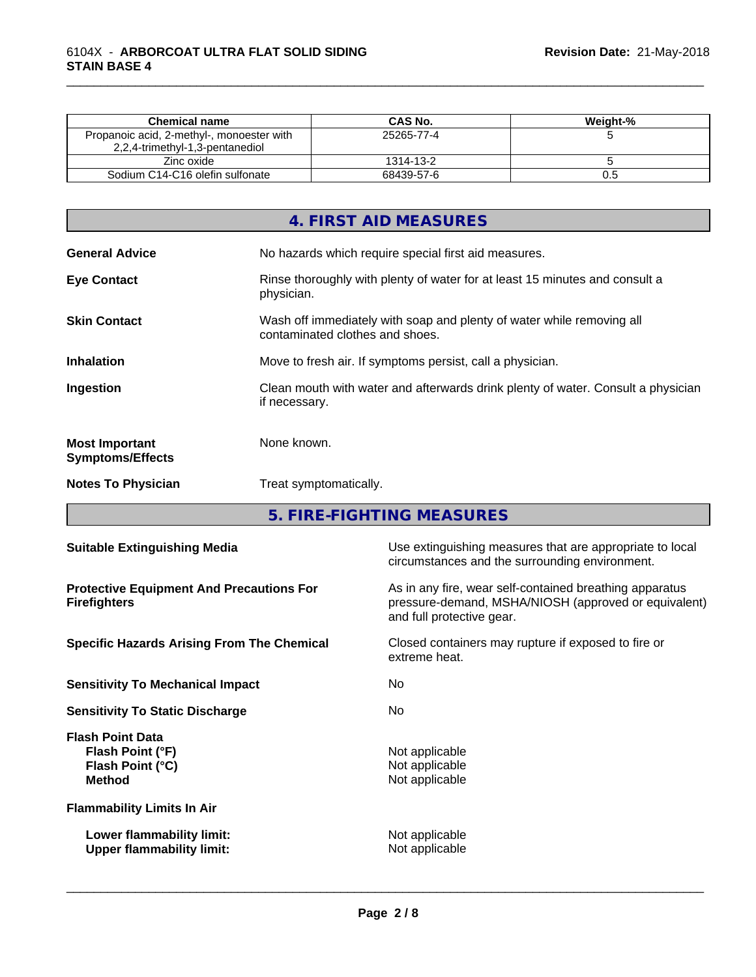| <b>Chemical name</b>                                                         | CAS No.    | Weight-% |
|------------------------------------------------------------------------------|------------|----------|
| Propanoic acid, 2-methyl-, monoester with<br>2,2,4-trimethyl-1,3-pentanediol | 25265-77-4 |          |
| Zinc oxide                                                                   | 1314-13-2  |          |
| Sodium C14-C16 olefin sulfonate                                              | 68439-57-6 | U.O      |

|                                                  | 4. FIRST AID MEASURES                                                                                    |
|--------------------------------------------------|----------------------------------------------------------------------------------------------------------|
| <b>General Advice</b>                            | No hazards which require special first aid measures.                                                     |
| <b>Eye Contact</b>                               | Rinse thoroughly with plenty of water for at least 15 minutes and consult a<br>physician.                |
| <b>Skin Contact</b>                              | Wash off immediately with soap and plenty of water while removing all<br>contaminated clothes and shoes. |
| <b>Inhalation</b>                                | Move to fresh air. If symptoms persist, call a physician.                                                |
| Ingestion                                        | Clean mouth with water and afterwards drink plenty of water. Consult a physician<br>if necessary.        |
| <b>Most Important</b><br><b>Symptoms/Effects</b> | None known.                                                                                              |
| <b>Notes To Physician</b>                        | Treat symptomatically.                                                                                   |

**5. FIRE-FIGHTING MEASURES**

| <b>Suitable Extinguishing Media</b>                                              | Use extinguishing measures that are appropriate to local<br>circumstances and the surrounding environment.                                   |
|----------------------------------------------------------------------------------|----------------------------------------------------------------------------------------------------------------------------------------------|
| <b>Protective Equipment And Precautions For</b><br><b>Firefighters</b>           | As in any fire, wear self-contained breathing apparatus<br>pressure-demand, MSHA/NIOSH (approved or equivalent)<br>and full protective gear. |
| <b>Specific Hazards Arising From The Chemical</b>                                | Closed containers may rupture if exposed to fire or<br>extreme heat.                                                                         |
| <b>Sensitivity To Mechanical Impact</b>                                          | No.                                                                                                                                          |
| <b>Sensitivity To Static Discharge</b>                                           | No.                                                                                                                                          |
| <b>Flash Point Data</b><br>Flash Point (°F)<br>Flash Point (°C)<br><b>Method</b> | Not applicable<br>Not applicable<br>Not applicable                                                                                           |
| <b>Flammability Limits In Air</b>                                                |                                                                                                                                              |
| Lower flammability limit:<br><b>Upper flammability limit:</b>                    | Not applicable<br>Not applicable                                                                                                             |
|                                                                                  |                                                                                                                                              |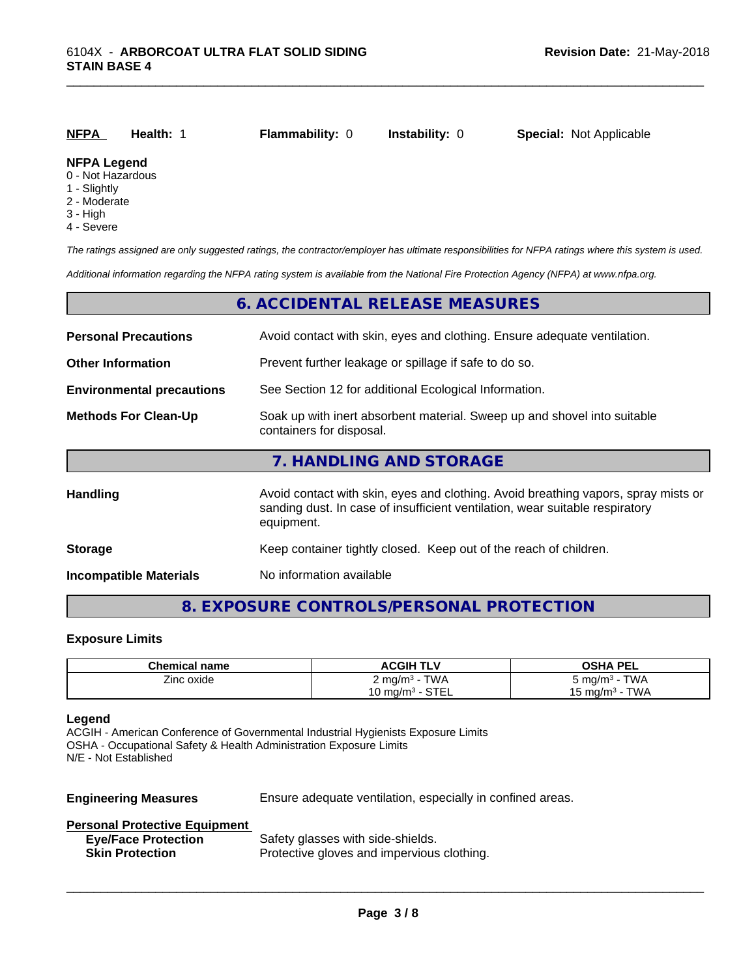| NFPA                                    | Health: | <b>Flammability: 0</b> | <b>Instability: 0</b> | <b>Special: Not Applicable</b> |
|-----------------------------------------|---------|------------------------|-----------------------|--------------------------------|
| <b>NFPA Legend</b><br>0 - Not Hazardous |         |                        |                       |                                |

- 1 Slightly
- 2 Moderate
- 
- 3 High
- 4 Severe

*The ratings assigned are only suggested ratings, the contractor/employer has ultimate responsibilities for NFPA ratings where this system is used.*

*Additional information regarding the NFPA rating system is available from the National Fire Protection Agency (NFPA) at www.nfpa.org.*

|                                                                                                                                     | 6. ACCIDENTAL RELEASE MEASURES                                                                                                                                                   |  |
|-------------------------------------------------------------------------------------------------------------------------------------|----------------------------------------------------------------------------------------------------------------------------------------------------------------------------------|--|
| Avoid contact with skin, eyes and clothing. Ensure adequate ventilation.<br><b>Personal Precautions</b>                             |                                                                                                                                                                                  |  |
| <b>Other Information</b><br>Prevent further leakage or spillage if safe to do so.                                                   |                                                                                                                                                                                  |  |
| See Section 12 for additional Ecological Information.<br><b>Environmental precautions</b>                                           |                                                                                                                                                                                  |  |
| Soak up with inert absorbent material. Sweep up and shovel into suitable<br><b>Methods For Clean-Up</b><br>containers for disposal. |                                                                                                                                                                                  |  |
|                                                                                                                                     | 7. HANDLING AND STORAGE                                                                                                                                                          |  |
| <b>Handling</b>                                                                                                                     | Avoid contact with skin, eyes and clothing. Avoid breathing vapors, spray mists or<br>sanding dust. In case of insufficient ventilation, wear suitable respiratory<br>equipment. |  |
| <b>Storage</b>                                                                                                                      | Keep container tightly closed. Keep out of the reach of children.                                                                                                                |  |
| <b>Incompatible Materials</b>                                                                                                       | No information available                                                                                                                                                         |  |
|                                                                                                                                     |                                                                                                                                                                                  |  |

# **8. EXPOSURE CONTROLS/PERSONAL PROTECTION**

### **Exposure Limits**

| <b>Chemical name</b> | <b>ACGIH TLV</b>            | OSHA PEL<br>.         |
|----------------------|-----------------------------|-----------------------|
| --<br>Zinc oxide     | TWA<br>∠ mg/m <sup>3</sup>  | <b>TWA</b><br>ാ mɑ/mೈ |
|                      | $\sim$ TF<br>.∪ mq/mª<br>-- | TWA<br>⊤ma/mª -       |

#### **Legend**

ACGIH - American Conference of Governmental Industrial Hygienists Exposure Limits OSHA - Occupational Safety & Health Administration Exposure Limits N/E - Not Established

**Engineering Measures** Ensure adequate ventilation, especially in confined areas.

 $\overline{\phantom{a}}$  ,  $\overline{\phantom{a}}$  ,  $\overline{\phantom{a}}$  ,  $\overline{\phantom{a}}$  ,  $\overline{\phantom{a}}$  ,  $\overline{\phantom{a}}$  ,  $\overline{\phantom{a}}$  ,  $\overline{\phantom{a}}$  ,  $\overline{\phantom{a}}$  ,  $\overline{\phantom{a}}$  ,  $\overline{\phantom{a}}$  ,  $\overline{\phantom{a}}$  ,  $\overline{\phantom{a}}$  ,  $\overline{\phantom{a}}$  ,  $\overline{\phantom{a}}$  ,  $\overline{\phantom{a}}$ 

#### **Personal Protective Equipment**

| <b>Eye/Face Protection</b> | Safety glasses with side-shields.          |
|----------------------------|--------------------------------------------|
| <b>Skin Protection</b>     | Protective gloves and impervious clothing. |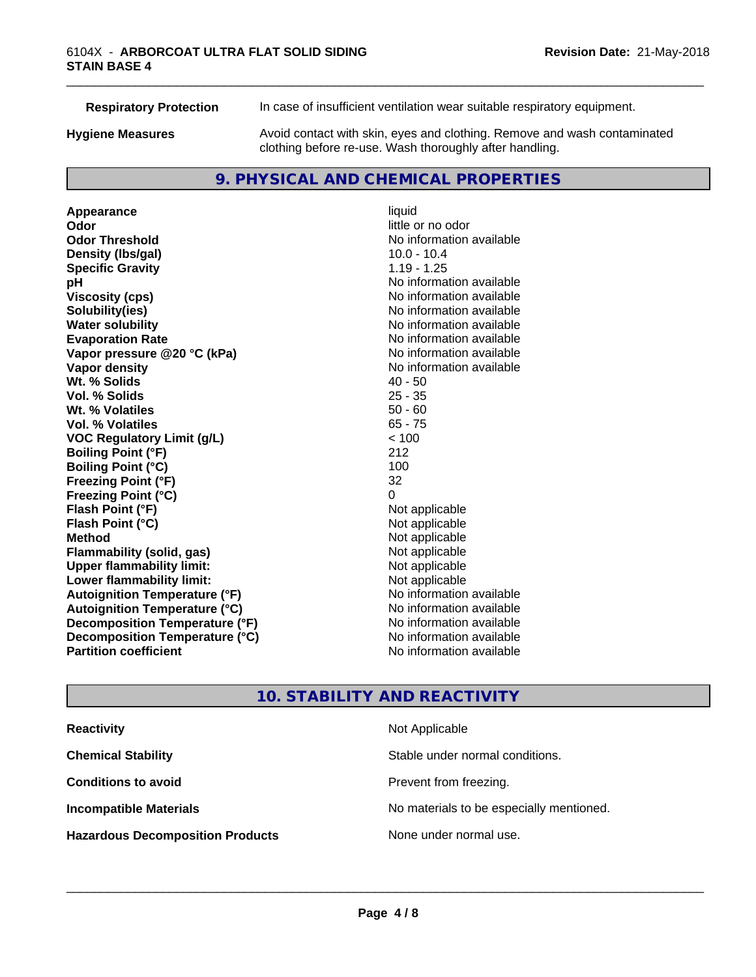| <b>Respiratory Protection</b> | In case of insufficient ventilation wear suitable respiratory equipment.                                                            |
|-------------------------------|-------------------------------------------------------------------------------------------------------------------------------------|
| <b>Hygiene Measures</b>       | Avoid contact with skin, eyes and clothing. Remove and wash contaminated<br>clothing before re-use. Wash thoroughly after handling. |

# **9. PHYSICAL AND CHEMICAL PROPERTIES**

**Appearance** liquid **Odor Odor** little or no odor<br> **Odor Threshold Containery of the Containery of the Containery of the Containery of the Containery of the Containery of the Containery of the Containery of the Containery of the Container Density (Ibs/gal)** 10.0 - 10.4 **Specific Gravity** 1.19 - 1.25 **pH** No information available **Viscosity (cps)** No information available **Solubility(ies)**<br> **Solubility**<br> **Water solubility**<br> **Water solubility Evaporation Rate No information available No information available Vapor pressure @20 °C (kPa)** No information available **Vapor density No information available No** information available **Wt. % Solids** 40 - 50 **Vol. % Solids Wt. % Volatiles** 50 - 60 **Vol. % Volatiles** 65 - 75 **VOC Regulatory Limit (g/L)** < 100 **Boiling Point (°F)** 212 **Boiling Point (°C)** 100 **Freezing Point (°F)** 32 **Freezing Point (°C)**<br> **Flash Point (°F)**<br> **Flash Point (°F)**<br> **Point (°F)**<br> **Point (°F)**<br> **Point (°F)**<br> **Point (°F) Flash Point (°F)**<br> **Flash Point (°C)**<br> **Flash Point (°C)**<br> **C Flash Point (°C) Method**<br> **Flammability (solid, gas)**<br> **Example 2018** Not applicable **Flammability (solid, gas)** Not applicable<br> **Upper flammability limit:** Not applicable **Upper flammability limit: Lower flammability limit:**<br> **Autoignition Temperature (°F)** Not applicable havailable available **Autoignition Temperature (°F) Autoignition Temperature (°C)** No information available **Decomposition Temperature (°F)** No information available **Decomposition Temperature (°C)** No information available **Partition coefficient Contract Contract Contract Contract Contract Contract Contract Contract Contract Contract Contract Contract Contract Contract Contract Contract Contract Contract Contract Contract Contract Contract** 

**No information available No information available** 

\_\_\_\_\_\_\_\_\_\_\_\_\_\_\_\_\_\_\_\_\_\_\_\_\_\_\_\_\_\_\_\_\_\_\_\_\_\_\_\_\_\_\_\_\_\_\_\_\_\_\_\_\_\_\_\_\_\_\_\_\_\_\_\_\_\_\_\_\_\_\_\_\_\_\_\_\_\_\_\_\_\_\_\_\_\_\_\_\_\_\_\_\_

# **10. STABILITY AND REACTIVITY**

| <b>Reactivity</b>                       | Not Applicable                           |
|-----------------------------------------|------------------------------------------|
| <b>Chemical Stability</b>               | Stable under normal conditions.          |
| <b>Conditions to avoid</b>              | Prevent from freezing.                   |
| <b>Incompatible Materials</b>           | No materials to be especially mentioned. |
| <b>Hazardous Decomposition Products</b> | None under normal use.                   |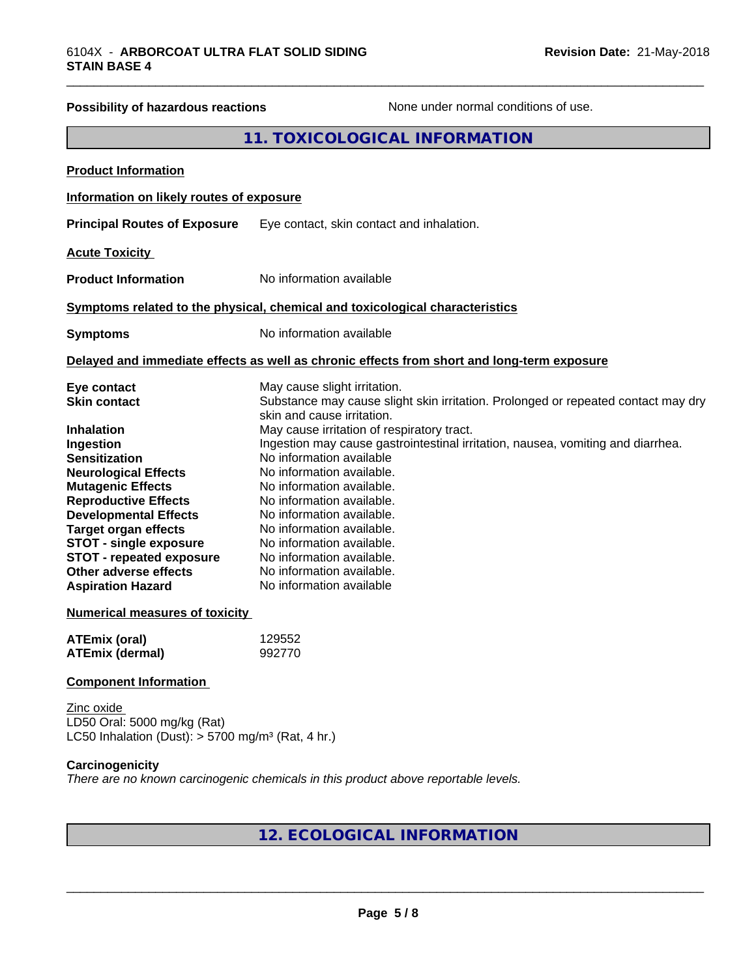| Possibility of hazardous reactions                                                                                                                                                                                                                                                                                                                                                                                      | None under normal conditions of use.                                                                                                                                                                                                                                                                                                                                                                                                                                                                                                                                             |
|-------------------------------------------------------------------------------------------------------------------------------------------------------------------------------------------------------------------------------------------------------------------------------------------------------------------------------------------------------------------------------------------------------------------------|----------------------------------------------------------------------------------------------------------------------------------------------------------------------------------------------------------------------------------------------------------------------------------------------------------------------------------------------------------------------------------------------------------------------------------------------------------------------------------------------------------------------------------------------------------------------------------|
|                                                                                                                                                                                                                                                                                                                                                                                                                         | 11. TOXICOLOGICAL INFORMATION                                                                                                                                                                                                                                                                                                                                                                                                                                                                                                                                                    |
| <b>Product Information</b>                                                                                                                                                                                                                                                                                                                                                                                              |                                                                                                                                                                                                                                                                                                                                                                                                                                                                                                                                                                                  |
| Information on likely routes of exposure                                                                                                                                                                                                                                                                                                                                                                                |                                                                                                                                                                                                                                                                                                                                                                                                                                                                                                                                                                                  |
| <b>Principal Routes of Exposure</b>                                                                                                                                                                                                                                                                                                                                                                                     | Eye contact, skin contact and inhalation.                                                                                                                                                                                                                                                                                                                                                                                                                                                                                                                                        |
| <b>Acute Toxicity</b>                                                                                                                                                                                                                                                                                                                                                                                                   |                                                                                                                                                                                                                                                                                                                                                                                                                                                                                                                                                                                  |
| <b>Product Information</b>                                                                                                                                                                                                                                                                                                                                                                                              | No information available                                                                                                                                                                                                                                                                                                                                                                                                                                                                                                                                                         |
|                                                                                                                                                                                                                                                                                                                                                                                                                         | Symptoms related to the physical, chemical and toxicological characteristics                                                                                                                                                                                                                                                                                                                                                                                                                                                                                                     |
| <b>Symptoms</b>                                                                                                                                                                                                                                                                                                                                                                                                         | No information available                                                                                                                                                                                                                                                                                                                                                                                                                                                                                                                                                         |
|                                                                                                                                                                                                                                                                                                                                                                                                                         | Delayed and immediate effects as well as chronic effects from short and long-term exposure                                                                                                                                                                                                                                                                                                                                                                                                                                                                                       |
| Eye contact<br><b>Skin contact</b><br><b>Inhalation</b><br>Ingestion<br><b>Sensitization</b><br><b>Neurological Effects</b><br><b>Mutagenic Effects</b><br><b>Reproductive Effects</b><br><b>Developmental Effects</b><br><b>Target organ effects</b><br><b>STOT - single exposure</b><br><b>STOT - repeated exposure</b><br>Other adverse effects<br><b>Aspiration Hazard</b><br><b>Numerical measures of toxicity</b> | May cause slight irritation.<br>Substance may cause slight skin irritation. Prolonged or repeated contact may dry<br>skin and cause irritation.<br>May cause irritation of respiratory tract.<br>Ingestion may cause gastrointestinal irritation, nausea, vomiting and diarrhea.<br>No information available<br>No information available.<br>No information available.<br>No information available.<br>No information available.<br>No information available.<br>No information available.<br>No information available.<br>No information available.<br>No information available |
| <b>ATEmix (oral)</b><br><b>ATEmix (dermal)</b>                                                                                                                                                                                                                                                                                                                                                                          | 129552<br>992770                                                                                                                                                                                                                                                                                                                                                                                                                                                                                                                                                                 |
| <b>Component Information</b>                                                                                                                                                                                                                                                                                                                                                                                            |                                                                                                                                                                                                                                                                                                                                                                                                                                                                                                                                                                                  |
| Zinc oxide<br>LD50 Oral: 5000 mg/kg (Rat)<br>LC50 Inhalation (Dust): $> 5700$ mg/m <sup>3</sup> (Rat, 4 hr.)                                                                                                                                                                                                                                                                                                            |                                                                                                                                                                                                                                                                                                                                                                                                                                                                                                                                                                                  |
| Carcinogenicity                                                                                                                                                                                                                                                                                                                                                                                                         | There are no known carcinogenic chemicals in this product above reportable levels.                                                                                                                                                                                                                                                                                                                                                                                                                                                                                               |

# **12. ECOLOGICAL INFORMATION**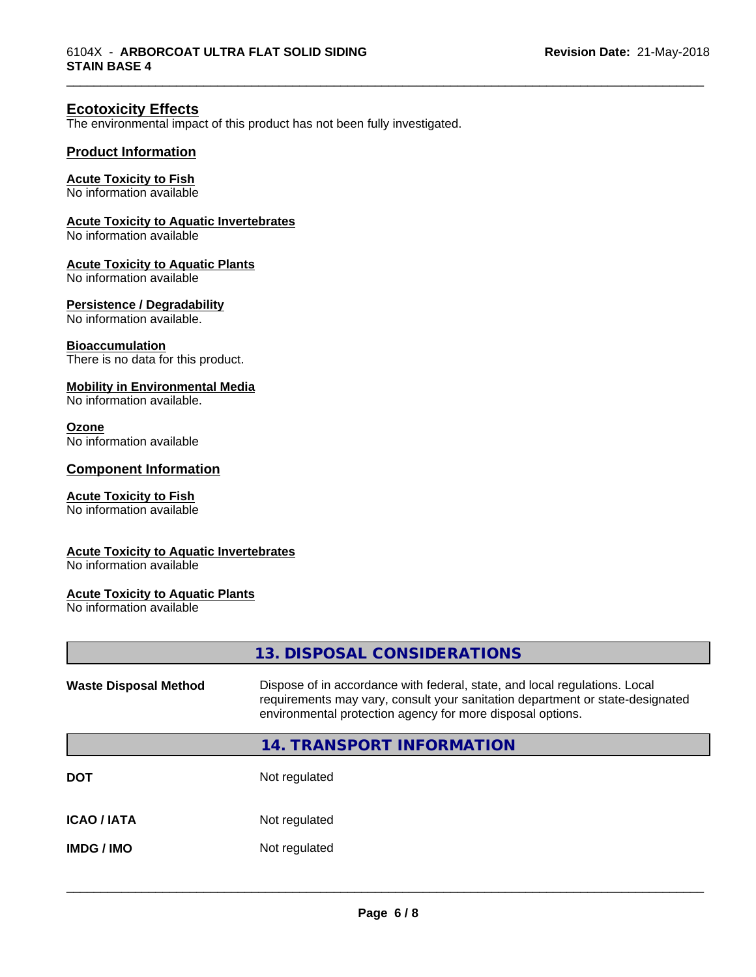## **Ecotoxicity Effects**

The environmental impact of this product has not been fully investigated.

#### **Product Information**

#### **Acute Toxicity to Fish**

No information available

#### **Acute Toxicity to Aquatic Invertebrates**

No information available

#### **Acute Toxicity to Aquatic Plants**

No information available

#### **Persistence / Degradability**

No information available.

#### **Bioaccumulation**

There is no data for this product.

#### **Mobility in Environmental Media**

No information available.

#### **Ozone**

No information available

#### **Component Information**

#### **Acute Toxicity to Fish**

No information available

#### **Acute Toxicity to Aquatic Invertebrates**

No information available

#### **Acute Toxicity to Aquatic Plants**

No information available

|                              | 13. DISPOSAL CONSIDERATIONS                                                                                                                                                                                               |
|------------------------------|---------------------------------------------------------------------------------------------------------------------------------------------------------------------------------------------------------------------------|
| <b>Waste Disposal Method</b> | Dispose of in accordance with federal, state, and local regulations. Local<br>requirements may vary, consult your sanitation department or state-designated<br>environmental protection agency for more disposal options. |
|                              | 14. TRANSPORT INFORMATION                                                                                                                                                                                                 |
| DOT                          | Not regulated                                                                                                                                                                                                             |
| ICAO / IATA                  | Not regulated                                                                                                                                                                                                             |
| IMDG / IMO                   | Not regulated                                                                                                                                                                                                             |
|                              |                                                                                                                                                                                                                           |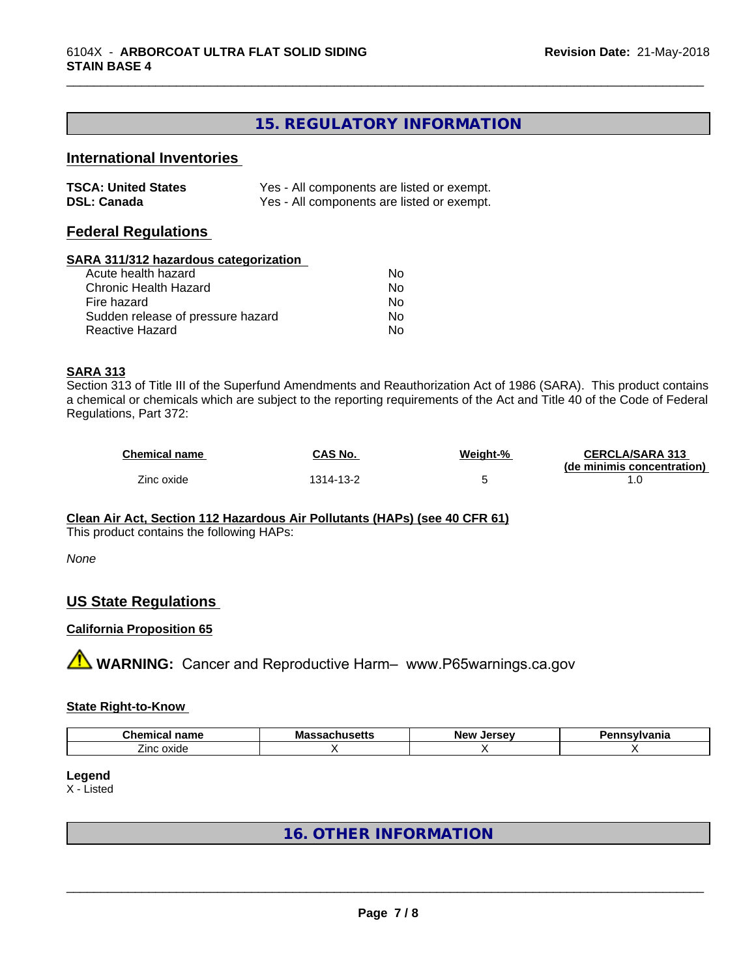# **15. REGULATORY INFORMATION**

\_\_\_\_\_\_\_\_\_\_\_\_\_\_\_\_\_\_\_\_\_\_\_\_\_\_\_\_\_\_\_\_\_\_\_\_\_\_\_\_\_\_\_\_\_\_\_\_\_\_\_\_\_\_\_\_\_\_\_\_\_\_\_\_\_\_\_\_\_\_\_\_\_\_\_\_\_\_\_\_\_\_\_\_\_\_\_\_\_\_\_\_\_

# **International Inventories**

| <b>TSCA: United States</b> | Yes - All components are listed or exempt. |
|----------------------------|--------------------------------------------|
| <b>DSL: Canada</b>         | Yes - All components are listed or exempt. |

#### **Federal Regulations**

#### **SARA 311/312 hazardous categorization**

| Acute health hazard               | N٥ |
|-----------------------------------|----|
| Chronic Health Hazard             | Nο |
| Fire hazard                       | Nο |
| Sudden release of pressure hazard | Nο |
| Reactive Hazard                   | N٥ |

#### **SARA 313**

Section 313 of Title III of the Superfund Amendments and Reauthorization Act of 1986 (SARA). This product contains a chemical or chemicals which are subject to the reporting requirements of the Act and Title 40 of the Code of Federal Regulations, Part 372:

| <b>Chemical name</b> | <b>CAS No.</b> | Weight-% | <b>CERCLA/SARA 313</b>     |
|----------------------|----------------|----------|----------------------------|
|                      |                |          | (de minimis concentration) |
| Zinc oxide           | 1314-13-2      |          |                            |

#### **Clean Air Act,Section 112 Hazardous Air Pollutants (HAPs) (see 40 CFR 61)**

This product contains the following HAPs:

#### *None*

#### **US State Regulations**

#### **California Proposition 65**

**AVIMARNING:** Cancer and Reproductive Harm– www.P65warnings.ca.gov

#### **State Right-to-Know**

| Chem<br>$-$<br>. .<br>∵nd∏lt<br>:1111  | ма<br>nuscus<br>--- | <b>SPOOL</b><br>AIAV.<br>.<br>. . | vlvania |
|----------------------------------------|---------------------|-----------------------------------|---------|
| - -<br>$\sim$<br>∠inc∴<br><b>UAIUC</b> |                     |                                   |         |

# **Legend**

X - Listed

# **16. OTHER INFORMATION**